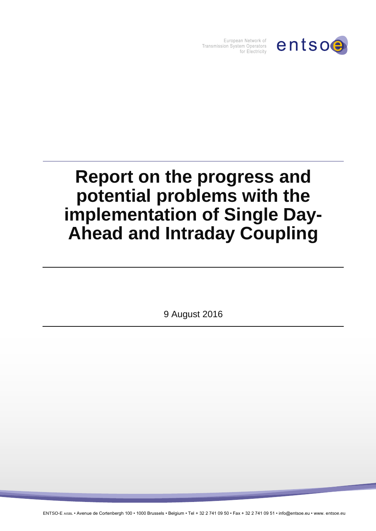

European Network of Transmission System Operators for Electricity

# **Report on the progress and potential problems with the implementation of Single Day-Ahead and Intraday Coupling**

9 August 2016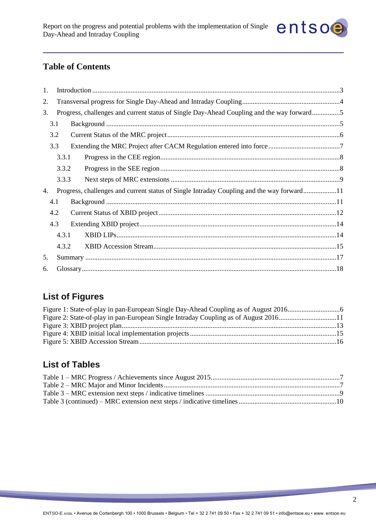

## **Table of Contents**

| 1.  |                                                                                           |       |                                                                                           |  |  |
|-----|-------------------------------------------------------------------------------------------|-------|-------------------------------------------------------------------------------------------|--|--|
| 2.  |                                                                                           |       |                                                                                           |  |  |
| 3.  | Progress, challenges and current status of Single Day-Ahead Coupling and the way forward5 |       |                                                                                           |  |  |
|     | 3.1                                                                                       |       |                                                                                           |  |  |
|     | 3.2                                                                                       |       |                                                                                           |  |  |
|     | 3.3                                                                                       |       |                                                                                           |  |  |
|     |                                                                                           | 3.3.1 |                                                                                           |  |  |
|     |                                                                                           | 3.3.2 |                                                                                           |  |  |
|     |                                                                                           | 3.3.3 |                                                                                           |  |  |
| 4.  |                                                                                           |       | Progress, challenges and current status of Single Intraday Coupling and the way forward11 |  |  |
|     | 4.1                                                                                       |       |                                                                                           |  |  |
|     | 4.2                                                                                       |       |                                                                                           |  |  |
| 4.3 |                                                                                           |       |                                                                                           |  |  |
|     |                                                                                           | 4.3.1 |                                                                                           |  |  |
|     |                                                                                           | 4.3.2 |                                                                                           |  |  |
| 5.  |                                                                                           |       |                                                                                           |  |  |
| 6.  |                                                                                           |       |                                                                                           |  |  |

# **List of Figures**

| Figure 2: State-of-play in pan-European Single Intraday Coupling as of August 201611 |  |
|--------------------------------------------------------------------------------------|--|
|                                                                                      |  |
|                                                                                      |  |
|                                                                                      |  |

# **List of Tables**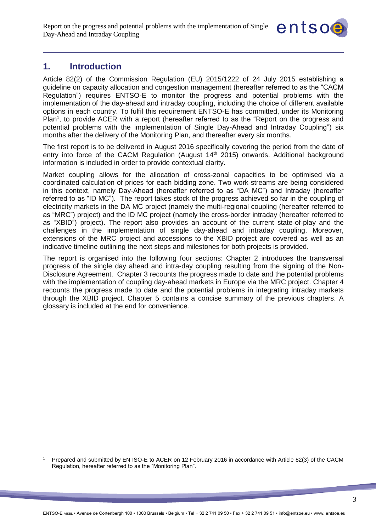

# <span id="page-2-0"></span>**1. Introduction**

Article 82(2) of the Commission Regulation (EU) 2015/1222 of 24 July 2015 establishing a guideline on capacity allocation and congestion management (hereafter referred to as the "CACM Regulation") requires ENTSO-E to monitor the progress and potential problems with the implementation of the day-ahead and intraday coupling, including the choice of different available options in each country. To fulfil this requirement ENTSO-E has committed, under its Monitoring Plan<sup>1</sup>, to provide ACER with a report (hereafter referred to as the "Report on the progress and potential problems with the implementation of Single Day-Ahead and Intraday Coupling") six months after the delivery of the Monitoring Plan, and thereafter every six months.

The first report is to be delivered in August 2016 specifically covering the period from the date of entry into force of the CACM Regulation (August 14<sup>th</sup> 2015) onwards. Additional background information is included in order to provide contextual clarity.

Market coupling allows for the allocation of cross-zonal capacities to be optimised via a coordinated calculation of prices for each bidding zone. Two work-streams are being considered in this context, namely Day-Ahead (hereafter referred to as "DA MC") and Intraday (hereafter referred to as "ID MC"). The report takes stock of the progress achieved so far in the coupling of electricity markets in the DA MC project (namely the multi-regional coupling (hereafter referred to as "MRC") project) and the ID MC project (namely the cross-border intraday (hereafter referred to as "XBID") project). The report also provides an account of the current state-of-play and the challenges in the implementation of single day-ahead and intraday coupling. Moreover, extensions of the MRC project and accessions to the XBID project are covered as well as an indicative timeline outlining the next steps and milestones for both projects is provided.

The report is organised into the following four sections: Chapter 2 introduces the transversal progress of the single day ahead and intra-day coupling resulting from the signing of the Non-Disclosure Agreement. Chapter 3 recounts the progress made to date and the potential problems with the implementation of coupling day-ahead markets in Europe via the MRC project. Chapter 4 recounts the progress made to date and the potential problems in integrating intraday markets through the XBID project. Chapter 5 contains a concise summary of the previous chapters. A glossary is included at the end for convenience.

 $\overline{a}$ <sup>1</sup> Prepared and submitted by ENTSO-E to ACER on 12 February 2016 in accordance with Article 82(3) of the CACM Regulation, hereafter referred to as the "Monitoring Plan".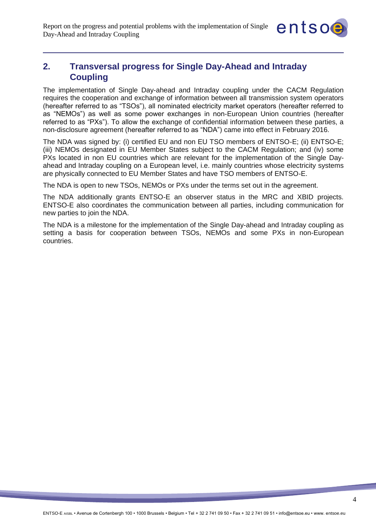

## <span id="page-3-0"></span>**2. Transversal progress for Single Day-Ahead and Intraday Coupling**

The implementation of Single Day-ahead and Intraday coupling under the CACM Regulation requires the cooperation and exchange of information between all transmission system operators (hereafter referred to as "TSOs"), all nominated electricity market operators (hereafter referred to as "NEMOs") as well as some power exchanges in non-European Union countries (hereafter referred to as "PXs"). To allow the exchange of confidential information between these parties, a non-disclosure agreement (hereafter referred to as "NDA") came into effect in February 2016.

The NDA was signed by: (i) certified EU and non EU TSO members of ENTSO-E; (ii) ENTSO-E; (iii) NEMOs designated in EU Member States subject to the CACM Regulation; and (iv) some PXs located in non EU countries which are relevant for the implementation of the Single Dayahead and Intraday coupling on a European level, i.e. mainly countries whose electricity systems are physically connected to EU Member States and have TSO members of ENTSO-E.

The NDA is open to new TSOs, NEMOs or PXs under the terms set out in the agreement.

The NDA additionally grants ENTSO-E an observer status in the MRC and XBID projects. ENTSO-E also coordinates the communication between all parties, including communication for new parties to join the NDA.

The NDA is a milestone for the implementation of the Single Day-ahead and Intraday coupling as setting a basis for cooperation between TSOs, NEMOs and some PXs in non-European countries.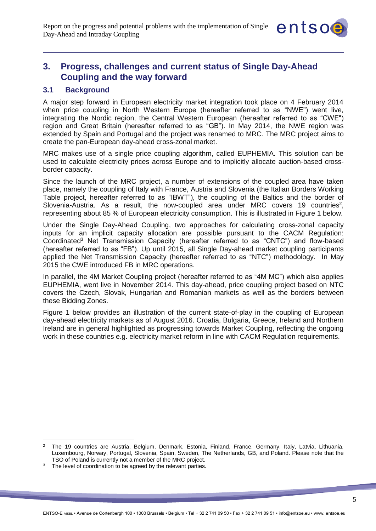

# <span id="page-4-0"></span>**3. Progress, challenges and current status of Single Day-Ahead Coupling and the way forward**

## <span id="page-4-1"></span>**3.1 Background**

A major step forward in European electricity market integration took place on 4 February 2014 when price coupling in North Western Europe (hereafter referred to as "NWE") went live, integrating the Nordic region, the Central Western European (hereafter referred to as "CWE") region and Great Britain (hereafter referred to as "GB"). In May 2014, the NWE region was extended by Spain and Portugal and the project was renamed to MRC. The MRC project aims to create the pan-European day-ahead cross-zonal market.

MRC makes use of a single price coupling algorithm, called EUPHEMIA. This solution can be used to calculate electricity prices across Europe and to implicitly allocate auction-based crossborder capacity.

Since the launch of the MRC project, a number of extensions of the coupled area have taken place, namely the coupling of Italy with France, Austria and Slovenia (the Italian Borders Working Table project, hereafter referred to as "IBWT"), the coupling of the Baltics and the border of Slovenia-Austria. As a result, the now-coupled area under MRC covers 19 countries<sup>2</sup>, representing about 85 % of European electricity consumption. This is illustrated in Figure 1 below.

Under the Single Day-Ahead Coupling, two approaches for calculating cross-zonal capacity inputs for an implicit capacity allocation are possible pursuant to the CACM Regulation: Coordinated<sup>3</sup> Net Transmission Capacity (hereafter referred to as "CNTC") and flow-based (hereafter referred to as "FB"). Up until 2015, all Single Day-ahead market coupling participants applied the Net Transmission Capacity (hereafter referred to as "NTC") methodology. In May 2015 the CWE introduced FB in MRC operations.

In parallel, the 4M Market Coupling project (hereafter referred to as "4M MC") which also applies EUPHEMIA, went live in November 2014. This day-ahead, price coupling project based on NTC covers the Czech, Slovak, Hungarian and Romanian markets as well as the borders between these Bidding Zones.

Figure 1 below provides an illustration of the current state-of-play in the coupling of European day-ahead electricity markets as of August 2016. Croatia, Bulgaria, Greece, Ireland and Northern Ireland are in general highlighted as progressing towards Market Coupling, reflecting the ongoing work in these countries e.g. electricity market reform in line with CACM Regulation requirements.

<sup>2</sup> The 19 countries are Austria, Belgium, Denmark, Estonia, Finland, France, Germany, Italy, Latvia, Lithuania, Luxembourg, Norway, Portugal, Slovenia, Spain, Sweden, The Netherlands, GB, and Poland. Please note that the TSO of Poland is currently not a member of the MRC project.

<sup>&</sup>lt;sup>3</sup> The level of coordination to be agreed by the relevant parties.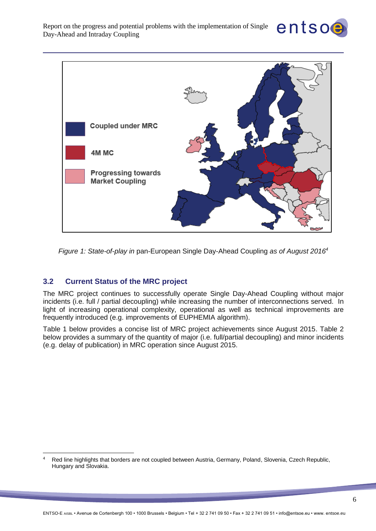



<span id="page-5-1"></span>*Figure 1: State-of-play in* pan-European Single Day-Ahead Coupling *as of August 2016<sup>4</sup>*

#### <span id="page-5-0"></span>**3.2 Current Status of the MRC project**

The MRC project continues to successfully operate Single Day-Ahead Coupling without major incidents (i.e. full / partial decoupling) while increasing the number of interconnections served. In light of increasing operational complexity, operational as well as technical improvements are frequently introduced (e.g. improvements of EUPHEMIA algorithm).

Table 1 below provides a concise list of MRC project achievements since August 2015. Table 2 below provides a summary of the quantity of major (i.e. full/partial decoupling) and minor incidents (e.g. delay of publication) in MRC operation since August 2015.

 $\overline{a}$ <sup>4</sup> Red line highlights that borders are not coupled between Austria, Germany, Poland, Slovenia, Czech Republic, Hungary and Slovakia.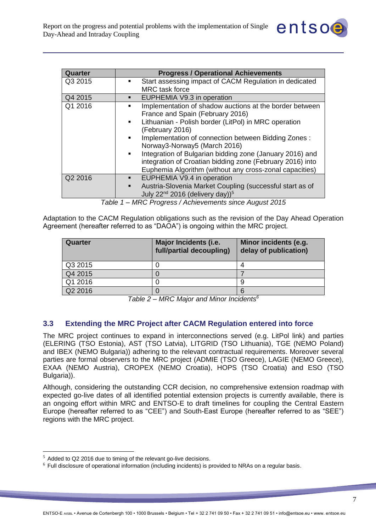| Quarter | <b>Progress / Operational Achievements</b>                                 |
|---------|----------------------------------------------------------------------------|
| Q3 2015 | Start assessing impact of CACM Regulation in dedicated<br>٠                |
|         | <b>MRC</b> task force                                                      |
| Q4 2015 | EUPHEMIA V9.3 in operation                                                 |
| Q1 2016 | Implementation of shadow auctions at the border between<br>٠               |
|         | France and Spain (February 2016)                                           |
|         | Lithuanian - Polish border (LitPol) in MRC operation<br>$\mathbf{r}$       |
|         | (February 2016)                                                            |
|         | Implementation of connection between Bidding Zones :<br>٠                  |
|         | Norway3-Norway5 (March 2016)                                               |
|         | Integration of Bulgarian bidding zone (January 2016) and                   |
|         | integration of Croatian bidding zone (February 2016) into                  |
|         | Euphemia Algorithm (without any cross-zonal capacities)                    |
| Q2 2016 | EUPHEMIA V9.4 in operation<br>٠                                            |
|         | Austria-Slovenia Market Coupling (successful start as of<br>$\blacksquare$ |
|         | July 22 <sup>nd</sup> 2016 (delivery day)) <sup>5</sup>                    |

entsoe

*Table 1 – MRC Progress / Achievements since August 2015*

<span id="page-6-1"></span>Adaptation to the CACM Regulation obligations such as the revision of the Day Ahead Operation Agreement (hereafter referred to as "DAOA") is ongoing within the MRC project*.*

| Quarter | Major Incidents (i.e.<br>full/partial decoupling) | Minor incidents (e.g.<br>delay of publication) |
|---------|---------------------------------------------------|------------------------------------------------|
| Q3 2015 |                                                   |                                                |
| Q4 2015 |                                                   |                                                |
| Q1 2016 |                                                   |                                                |
| Q2 2016 |                                                   |                                                |

*Table 2 – MRC Major and Minor Incidents<sup>6</sup>*

#### <span id="page-6-2"></span><span id="page-6-0"></span>**3.3 Extending the MRC Project after CACM Regulation entered into force**

The MRC project continues to expand in interconnections served (e.g. LitPol link) and parties (ELERING (TSO Estonia), AST (TSO Latvia), LITGRID (TSO Lithuania), TGE (NEMO Poland) and IBEX (NEMO Bulgaria)) adhering to the relevant contractual requirements. Moreover several parties are formal observers to the MRC project (ADMIE (TSO Greece), LAGIE (NEMO Greece), EXAA (NEMO Austria), CROPEX (NEMO Croatia), HOPS (TSO Croatia) and ESO (TSO Bulgaria)).

Although, considering the outstanding CCR decision, no comprehensive extension roadmap with expected go-live dates of all identified potential extension projects is currently available, there is an ongoing effort within MRC and ENTSO-E to draft timelines for coupling the Central Eastern Europe (hereafter referred to as "CEE") and South-East Europe (hereafter referred to as "SEE") regions with the MRC project.

<sup>5</sup> Added to Q2 2016 due to timing of the relevant go-live decisions.

 $6$  Full disclosure of operational information (including incidents) is provided to NRAs on a regular basis.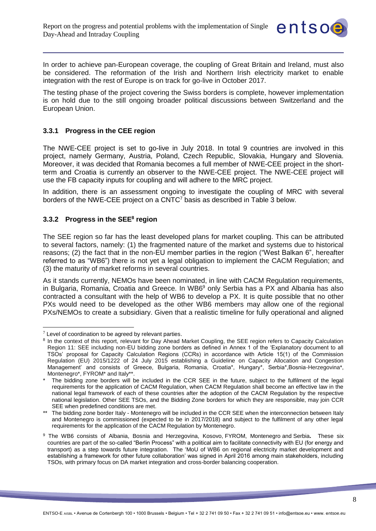

In order to achieve pan-European coverage, the coupling of Great Britain and Ireland, must also be considered. The reformation of the Irish and Northern Irish electricity market to enable integration with the rest of Europe is on track for go-live in October 2017.

The testing phase of the project covering the Swiss borders is complete, however implementation is on hold due to the still ongoing broader political discussions between Switzerland and the European Union.

#### <span id="page-7-0"></span>**3.3.1 Progress in the CEE region**

The NWE-CEE project is set to go-live in July 2018. In total 9 countries are involved in this project, namely Germany, Austria, Poland, Czech Republic, Slovakia, Hungary and Slovenia. Moreover, it was decided that Romania becomes a full member of NWE-CEE project in the shortterm and Croatia is currently an observer to the NWE-CEE project. The NWE-CEE project will use the FB capacity inputs for coupling and will adhere to the MRC project.

In addition, there is an assessment ongoing to investigate the coupling of MRC with several borders of the NWE-CEE project on a CNTC<sup>7</sup> basis as described in Table 3 below.

#### <span id="page-7-1"></span>**3.3.2 Progress in the SEE<sup>8</sup> region**

The SEE region so far has the least developed plans for market coupling. This can be attributed to several factors, namely: (1) the fragmented nature of the market and systems due to historical reasons; (2) the fact that in the non-EU member parties in the region ("West Balkan 6", hereafter referred to as "WB6") there is not yet a legal obligation to implement the CACM Regulation; and (3) the maturity of market reforms in several countries.

As it stands currently, NEMOs have been nominated, in line with CACM Regulation requirements, in Bulgaria, Romania, Croatia and Greece. In WB6<sup>9</sup> only Serbia has a PX and Albania has also contracted a consultant with the help of WB6 to develop a PX. It is quite possible that no other PXs would need to be developed as the other WB6 members may allow one of the regional PXs/NEMOs to create a subsidiary. Given that a realistic timeline for fully operational and aligned

 $7$  Level of coordination to be agreed by relevant parties.

<sup>&</sup>lt;sup>8</sup> In the context of this report, relevant for Day Ahead Market Coupling, the SEE region refers to Capacity Calculation Region 11: SEE including non-EU bidding zone borders as defined in Annex 1 of the 'Explanatory document to all TSOs' proposal for Capacity Calculation Regions (CCRs) in accordance with Article 15(1) of the Commission Regulation (EU) 2015/1222 of 24 July 2015 establishing a Guideline on Capacity Allocation and Congestion Management' and consists of Greece, Bulgaria, Romania, Croatia\*, Hungary\*, Serbia\*,Bosnia-Herzegovina\*, Montenegro\*, FYROM\* and Italy\*\*.

The bidding zone borders will be included in the CCR SEE in the future, subject to the fulfilment of the legal requirements for the application of CACM Regulation, when CACM Regulation shall become an effective law in the national legal framework of each of these countries after the adoption of the CACM Regulation by the respective national legislation. Other SEE TSOs, and the Bidding Zone borders for which they are responsible, may join CCR SEE when predefined conditions are met.

<sup>\*\*</sup> The bidding zone border Italy - Montenegro will be included in the CCR SEE when the interconnection between Italy and Montenegro is commissioned (expected to be in 2017/2018) and subject to the fulfilment of any other legal requirements for the application of the CACM Regulation by Montenegro.

<sup>9</sup> The WB6 consists of Albania, Bosnia and Herzegovina, Kosovo, FYROM, Montenegro and Serbia**.** These six countries are part of the so-called "Berlin Process" with a political aim to facilitate connectivity with EU (for energy and transport) as a step towards future integration. The 'MoU of WB6 on regional electricity market development and establishing a framework for other future collaboration' was signed in April 2016 among main stakeholders, including TSOs, with primary focus on DA market integration and cross-border balancing cooperation.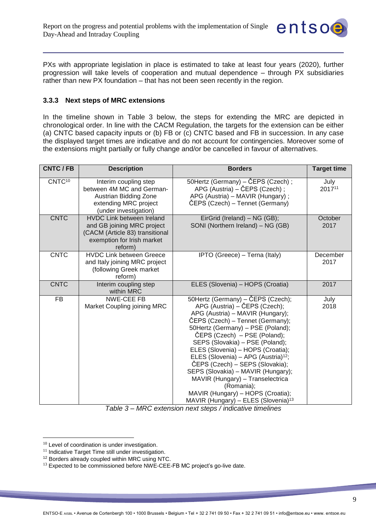

PXs with appropriate legislation in place is estimated to take at least four years (2020), further progression will take levels of cooperation and mutual dependence – through PX subsidiaries rather than new PX foundation – that has not been seen recently in the region.

#### <span id="page-8-0"></span>**3.3.3 Next steps of MRC extensions**

In the timeline shown in Table 3 below, the steps for extending the MRC are depicted in chronological order. In line with the CACM Regulation, the targets for the extension can be either (a) CNTC based capacity inputs or (b) FB or (c) CNTC based and FB in succession. In any case the displayed target times are indicative and do not account for contingencies. Moreover some of the extensions might partially or fully change and/or be cancelled in favour of alternatives.

| <b>CNTC/FB</b>     | <b>Description</b>                                                                                                                         | <b>Borders</b>                                                                                                                                                                                                                                                                                                                                                                                                                                                                                                                                                | <b>Target time</b> |
|--------------------|--------------------------------------------------------------------------------------------------------------------------------------------|---------------------------------------------------------------------------------------------------------------------------------------------------------------------------------------------------------------------------------------------------------------------------------------------------------------------------------------------------------------------------------------------------------------------------------------------------------------------------------------------------------------------------------------------------------------|--------------------|
| CNTC <sup>10</sup> | Interim coupling step<br>between 4M MC and German-<br>Austrian Bidding Zone<br>extending MRC project<br>(under investigation)              | 50Hertz (Germany) – ČEPS (Czech);<br>APG (Austria) – ČEPS (Czech);<br>APG (Austria) - MAVIR (Hungary);<br>ČEPS (Czech) – Tennet (Germany)                                                                                                                                                                                                                                                                                                                                                                                                                     | July<br>201711     |
| <b>CNTC</b>        | <b>HVDC Link between Ireland</b><br>and GB joining MRC project<br>(CACM (Article 83) transitional<br>exemption for Irish market<br>reform) | EirGrid (Ireland) - NG (GB);<br>SONI (Northern Ireland) - NG (GB)                                                                                                                                                                                                                                                                                                                                                                                                                                                                                             | October<br>2017    |
| <b>CNTC</b>        | <b>HVDC Link between Greece</b><br>and Italy joining MRC project<br>(following Greek market<br>reform)                                     | IPTO (Greece) - Terna (Italy)                                                                                                                                                                                                                                                                                                                                                                                                                                                                                                                                 | December<br>2017   |
| <b>CNTC</b>        | Interim coupling step<br>within MRC                                                                                                        | ELES (Slovenia) - HOPS (Croatia)                                                                                                                                                                                                                                                                                                                                                                                                                                                                                                                              | 2017               |
| <b>FB</b>          | NWE-CEE FB<br>Market Coupling joining MRC                                                                                                  | 50Hertz (Germany) - ČEPS (Czech);<br>APG (Austria) – ČEPS (Czech);<br>APG (Austria) - MAVIR (Hungary);<br>ČEPS (Czech) – Tennet (Germany);<br>50Hertz (Germany) - PSE (Poland);<br>ČEPS (Czech) – PSE (Poland);<br>SEPS (Slovakia) - PSE (Poland);<br>ELES (Slovenia) - HOPS (Croatia);<br>ELES (Slovenia) - APG (Austria) <sup>12</sup> ;<br>ČEPS (Czech) – SEPS (Slovakia);<br>SEPS (Slovakia) - MAVIR (Hungary);<br>MAVIR (Hungary) - Transelectrica<br>(Romania);<br>MAVIR (Hungary) - HOPS (Croatia);<br>MAVIR (Hungary) - ELES (Slovenia) <sup>13</sup> | July<br>2018       |

*Table 3 – MRC extension next steps / indicative timelines*

<span id="page-8-1"></span> $10$  Level of coordination is under investigation.

 $11$  Indicative Target Time still under investigation.

<sup>&</sup>lt;sup>12</sup> Borders already coupled within MRC using NTC.

<sup>&</sup>lt;sup>13</sup> Expected to be commissioned before NWE-CEE-FB MC project's go-live date.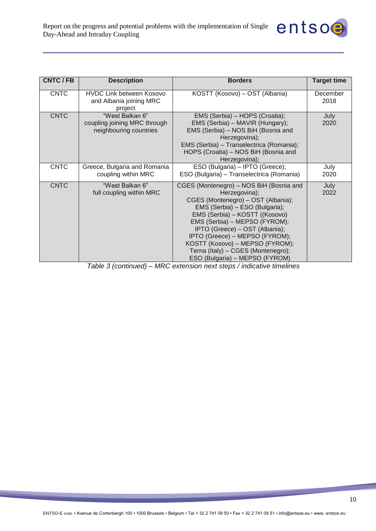

| CNTC / FB   | <b>Description</b>                                                        | <b>Borders</b>                                                                                                                                                                                                                                                                                                                                                                     | <b>Target time</b> |
|-------------|---------------------------------------------------------------------------|------------------------------------------------------------------------------------------------------------------------------------------------------------------------------------------------------------------------------------------------------------------------------------------------------------------------------------------------------------------------------------|--------------------|
| <b>CNTC</b> | HVDC Link between Kosovo<br>and Albania joining MRC<br>project            | KOSTT (Kosovo) – OST (Albania)                                                                                                                                                                                                                                                                                                                                                     | December<br>2018   |
| <b>CNTC</b> | "West Balkan 6"<br>coupling joining MRC through<br>neighbouring countries | EMS (Serbia) - HOPS (Croatia);<br>EMS (Serbia) - MAVIR (Hungary);<br>EMS (Serbia) - NOS BiH (Bosnia and<br>Herzegovina);<br>EMS (Serbia) - Transelectrica (Romania);<br>HOPS (Croatia) – NOS BiH (Bosnia and<br>Herzegovina);                                                                                                                                                      | July<br>2020       |
| <b>CNTC</b> | Greece, Bulgaria and Romania<br>coupling within MRC                       | ESO (Bulgaria) - IPTO (Greece);<br>ESO (Bulgaria) - Transelectrica (Romania)                                                                                                                                                                                                                                                                                                       | July<br>2020       |
| <b>CNTC</b> | "West Balkan 6"<br>full coupling within MRC                               | CGES (Montenegro) - NOS BiH (Bosnia and<br>Herzegovina);<br>CGES (Montenegro) - OST (Albania);<br>EMS (Serbia) – ESO (Bulgaria);<br>EMS (Serbia) – KOSTT ((Kosovo)<br>EMS (Serbia) – MEPSO (FYROM);<br>IPTO (Greece) - OST (Albania);<br>IPTO (Greece) - MEPSO (FYROM);<br>KOSTT (Kosovo) - MEPSO (FYROM);<br>Terna (Italy) - CGES (Montenegro);<br>ESO (Bulgaria) - MEPSO (FYROM) | July<br>2022       |

<span id="page-9-0"></span>*Table 3 (continued) – MRC extension next steps / indicative timelines*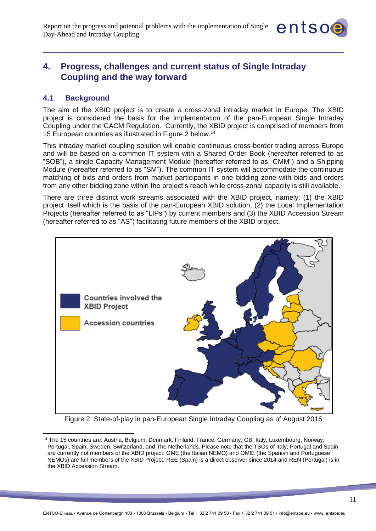

## <span id="page-10-0"></span>**4. Progress, challenges and current status of Single Intraday Coupling and the way forward**

#### <span id="page-10-1"></span>**4.1 Background**

<span id="page-10-2"></span> $\overline{a}$ 

The aim of the XBID project is to create a cross-zonal intraday market in Europe. The XBID project is considered the basis for the implementation of the pan-European Single Intraday Coupling under the CACM Regulation. Currently, the XBID project is comprised of members from 15 European countries as illustrated in Figure 2 below. 14

This intraday market coupling solution will enable continuous cross-border trading across Europe and will be based on a common IT system with a Shared Order Book (hereafter referred to as "SOB"), a single Capacity Management Module (hereafter referred to as "CMM") and a Shipping Module (hereafter referred to as "SM"). The common IT system will accommodate the continuous matching of bids and orders from market participants in one bidding zone with bids and orders from any other bidding zone within the project's reach while cross-zonal capacity is still available.

There are three distinct work streams associated with the XBID project, namely: (1) the XBID project itself which is the basis of the pan-European XBID solution, (2) the Local Implementation Projects (hereafter referred to as "LIPs") by current members and (3) the XBID Accession Stream (hereafter referred to as "AS") facilitating future members of the XBID project.



Figure 2: State-of-play in pan-European Single Intraday Coupling as of August 2016

<sup>14</sup> The 15 countries are: Austria, Belgium, Denmark, Finland, France, Germany, GB, Italy, Luxembourg, Norway, Portugal, Spain, Sweden, Switzerland, and The Netherlands. Please note that the TSOs of Italy, Portugal and Spain are currently not members of the XBID project. GME (the Italian NEMO) and OMIE (the Spanish and Portuguese NEMOs) are full members of the XBID Project. REE (Spain) is a direct observer since 2014 and REN (Portugal) is in the XBID Accession Stream.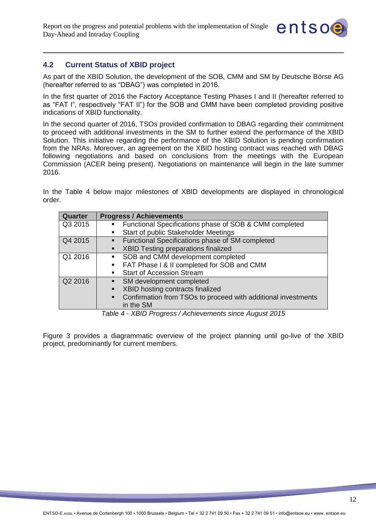

## <span id="page-11-0"></span>**4.2 Current Status of XBID project**

As part of the XBID Solution, the development of the SOB, CMM and SM by Deutsche Börse AG (hereafter referred to as "DBAG") was completed in 2016.

In the first quarter of 2016 the Factory Acceptance Testing Phases I and II (hereafter referred to as "FAT I", respectively "FAT II") for the SOB and CMM have been completed providing positive indications of XBID functionality.

In the second quarter of 2016, TSOs provided confirmation to DBAG regarding their commitment to proceed with additional investments in the SM to further extend the performance of the XBID Solution. This initiative regarding the performance of the XBID Solution is pending confirmation from the NRAs. Moreover, an agreement on the XBID hosting contract was reached with DBAG following negotiations and based on conclusions from the meetings with the European Commission (ACER being present). Negotiations on maintenance will begin in the late summer 2016.

In the Table 4 below major milestones of XBID developments are displayed in chronological order.

| Quarter | <b>Progress / Achievements</b>                                                  |
|---------|---------------------------------------------------------------------------------|
| Q3 2015 | Functional Specifications phase of SOB & CMM completed<br>$\blacksquare$        |
|         | Start of public Stakeholder Meetings                                            |
| Q4 2015 | Functional Specifications phase of SM completed<br>$\mathbf{R}^{\text{max}}$    |
|         | XBID Testing preparations finalized<br>$\blacksquare$                           |
| Q1 2016 | SOB and CMM development completed<br>$\mathbf{R}^{\text{max}}$                  |
|         | FAT Phase I & II completed for SOB and CMM<br>$\blacksquare$                    |
|         | <b>Start of Accession Stream</b><br>$\blacksquare$                              |
| Q2 2016 | • SM development completed                                                      |
|         | XBID hosting contracts finalized<br>$\blacksquare$                              |
|         | Confirmation from TSOs to proceed with additional investments<br>$\blacksquare$ |
|         | in the SM                                                                       |

*Table 4 - XBID Progress / Achievements since August 2015*

Figure 3 provides a diagrammatic overview of the project planning until go-live of the XBID project, predominantly for current members.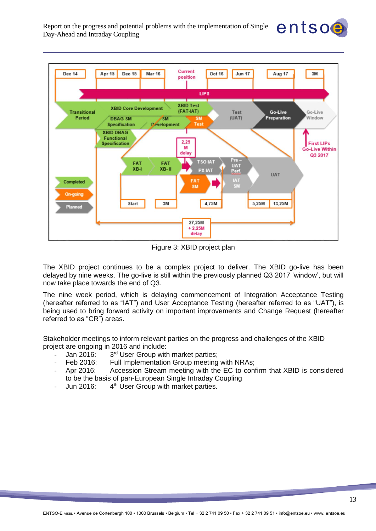

entsoe

Figure 3: XBID project plan

<span id="page-12-0"></span>The XBID project continues to be a complex project to deliver. The XBID go-live has been delayed by nine weeks. The go-live is still within the previously planned Q3 2017 'window', but will now take place towards the end of Q3.

The nine week period, which is delaying commencement of Integration Acceptance Testing (hereafter referred to as "IAT") and User Acceptance Testing (hereafter referred to as "UAT"), is being used to bring forward activity on important improvements and Change Request (hereafter referred to as "CR") areas.

Stakeholder meetings to inform relevant parties on the progress and challenges of the XBID project are ongoing in 2016 and include:

- $-$  Jan 2016: 3<sup>rd</sup> User Group with market parties;
- Feb 2016: Full Implementation Group meeting with NRAs;
- Apr 2016: Accession Stream meeting with the EC to confirm that XBID is considered to be the basis of pan-European Single Intraday Coupling
- Jun 2016: 4<sup>th</sup> User Group with market parties.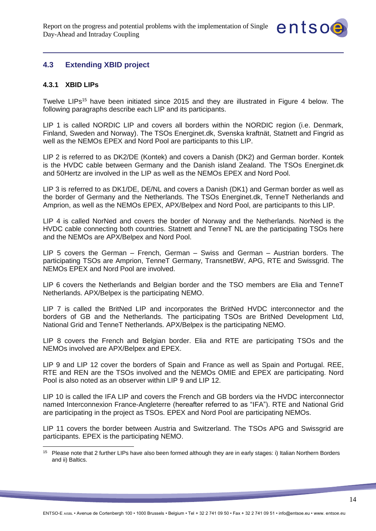

## <span id="page-13-0"></span>**4.3 Extending XBID project**

#### <span id="page-13-1"></span>**4.3.1 XBID LIPs**

Twelve LIPs<sup>15</sup> have been initiated since 2015 and they are illustrated in Figure 4 below. The following paragraphs describe each LIP and its participants.

LIP 1 is called NORDIC LIP and covers all borders within the NORDIC region (i.e. Denmark, Finland, Sweden and Norway). The TSOs Energinet.dk, Svenska kraftnät, Statnett and Fingrid as well as the NEMOs EPEX and Nord Pool are participants to this LIP.

LIP 2 is referred to as DK2/DE (Kontek) and covers a Danish (DK2) and German border. Kontek is the HVDC cable between Germany and the Danish island Zealand. The TSOs Energinet.dk and 50Hertz are involved in the LIP as well as the NEMOs EPEX and Nord Pool.

LIP 3 is referred to as DK1/DE, DE/NL and covers a Danish (DK1) and German border as well as the border of Germany and the Netherlands. The TSOs Energinet.dk, TenneT Netherlands and Amprion, as well as the NEMOs EPEX, APX/Belpex and Nord Pool, are participants to this LIP.

LIP 4 is called NorNed and covers the border of Norway and the Netherlands. NorNed is the HVDC cable connecting both countries. Statnett and TenneT NL are the participating TSOs here and the NEMOs are APX/Belpex and Nord Pool.

LIP 5 covers the German – French, German – Swiss and German – Austrian borders. The participating TSOs are Amprion, TenneT Germany, TransnetBW, APG, RTE and Swissgrid. The NEMOs EPEX and Nord Pool are involved.

LIP 6 covers the Netherlands and Belgian border and the TSO members are Elia and TenneT Netherlands. APX/Belpex is the participating NEMO.

LIP 7 is called the BritNed LIP and incorporates the BritNed HVDC interconnector and the borders of GB and the Netherlands. The participating TSOs are BritNed Development Ltd, National Grid and TenneT Netherlands. APX/Belpex is the participating NEMO.

LIP 8 covers the French and Belgian border. Elia and RTE are participating TSOs and the NEMOs involved are APX/Belpex and EPEX.

LIP 9 and LIP 12 cover the borders of Spain and France as well as Spain and Portugal. REE, RTE and REN are the TSOs involved and the NEMOs OMIE and EPEX are participating. Nord Pool is also noted as an observer within LIP 9 and LIP 12.

LIP 10 is called the IFA LIP and covers the French and GB borders via the HVDC interconnector named Interconnexion France-Angleterre (hereafter referred to as "IFA"). RTE and National Grid are participating in the project as TSOs. EPEX and Nord Pool are participating NEMOs.

LIP 11 covers the border between Austria and Switzerland. The TSOs APG and Swissgrid are participants. EPEX is the participating NEMO.

 $15$ Please note that 2 further LIPs have also been formed although they are in early stages: i) Italian Northern Borders and ii) Baltics.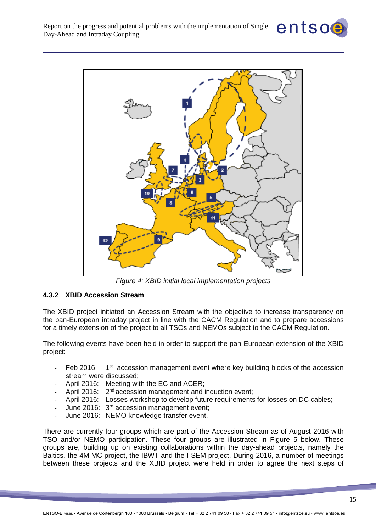



*Figure 4: XBID initial local implementation projects* 

#### <span id="page-14-1"></span><span id="page-14-0"></span>**4.3.2 XBID Accession Stream**

The XBID project initiated an Accession Stream with the objective to increase transparency on the pan-European intraday project in line with the CACM Regulation and to prepare accessions for a timely extension of the project to all TSOs and NEMOs subject to the CACM Regulation.

The following events have been held in order to support the pan-European extension of the XBID project:

- Feb 2016: 1<sup>st</sup> accession management event where key building blocks of the accession stream were discussed;
- April 2016: Meeting with the EC and ACER:
- April 2016: 2<sup>nd</sup> accession management and induction event;
- April 2016: Losses workshop to develop future requirements for losses on DC cables;
- June 2016: 3<sup>rd</sup> accession management event;
- June 2016: NEMO knowledge transfer event.

There are currently four groups which are part of the Accession Stream as of August 2016 with TSO and/or NEMO participation. These four groups are illustrated in Figure 5 below. These groups are, building up on existing collaborations within the day-ahead projects, namely the Baltics, the 4M MC project, the IBWT and the I-SEM project. During 2016, a number of meetings between these projects and the XBID project were held in order to agree the next steps of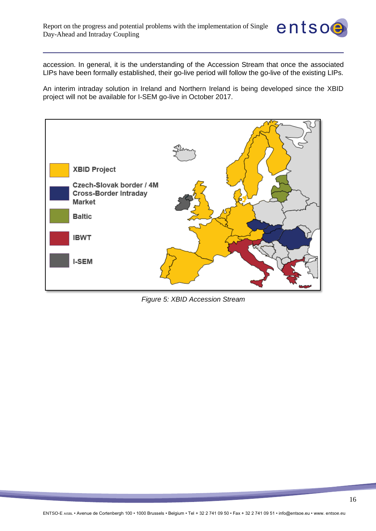accession. In general, it is the understanding of the Accession Stream that once the associated LIPs have been formally established, their go-live period will follow the go-live of the existing LIPs.

entsoe

An interim intraday solution in Ireland and Northern Ireland is being developed since the XBID project will not be available for I-SEM go-live in October 2017.



<span id="page-15-0"></span>*Figure 5: XBID Accession Stream*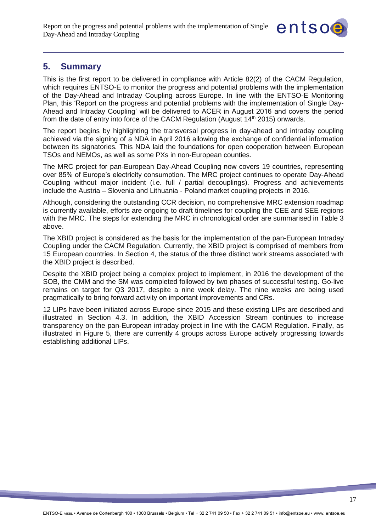

## <span id="page-16-0"></span>**5. Summary**

This is the first report to be delivered in compliance with Article 82(2) of the CACM Regulation, which requires ENTSO-E to monitor the progress and potential problems with the implementation of the Day-Ahead and Intraday Coupling across Europe. In line with the ENTSO-E Monitoring Plan, this 'Report on the progress and potential problems with the implementation of Single Day-Ahead and Intraday Coupling' will be delivered to ACER in August 2016 and covers the period from the date of entry into force of the CACM Regulation (August  $14<sup>th</sup>$  2015) onwards.

The report begins by highlighting the transversal progress in day-ahead and intraday coupling achieved via the signing of a NDA in April 2016 allowing the exchange of confidential information between its signatories. This NDA laid the foundations for open cooperation between European TSOs and NEMOs, as well as some PXs in non-European counties.

The MRC project for pan-European Day-Ahead Coupling now covers 19 countries, representing over 85% of Europe's electricity consumption. The MRC project continues to operate Day-Ahead Coupling without major incident (i.e. full / partial decouplings). Progress and achievements include the Austria – Slovenia and Lithuania - Poland market coupling projects in 2016.

Although, considering the outstanding CCR decision, no comprehensive MRC extension roadmap is currently available, efforts are ongoing to draft timelines for coupling the CEE and SEE regions with the MRC. The steps for extending the MRC in chronological order are summarised in Table 3 above.

The XBID project is considered as the basis for the implementation of the pan-European Intraday Coupling under the CACM Regulation. Currently, the XBID project is comprised of members from 15 European countries. In Section 4, the status of the three distinct work streams associated with the XBID project is described.

Despite the XBID project being a complex project to implement, in 2016 the development of the SOB, the CMM and the SM was completed followed by two phases of successful testing. Go-live remains on target for Q3 2017, despite a nine week delay. The nine weeks are being used pragmatically to bring forward activity on important improvements and CRs.

12 LIPs have been initiated across Europe since 2015 and these existing LIPs are described and illustrated in Section 4.3. In addition, the XBID Accession Stream continues to increase transparency on the pan-European intraday project in line with the CACM Regulation. Finally, as illustrated in Figure 5, there are currently 4 groups across Europe actively progressing towards establishing additional LIPs.